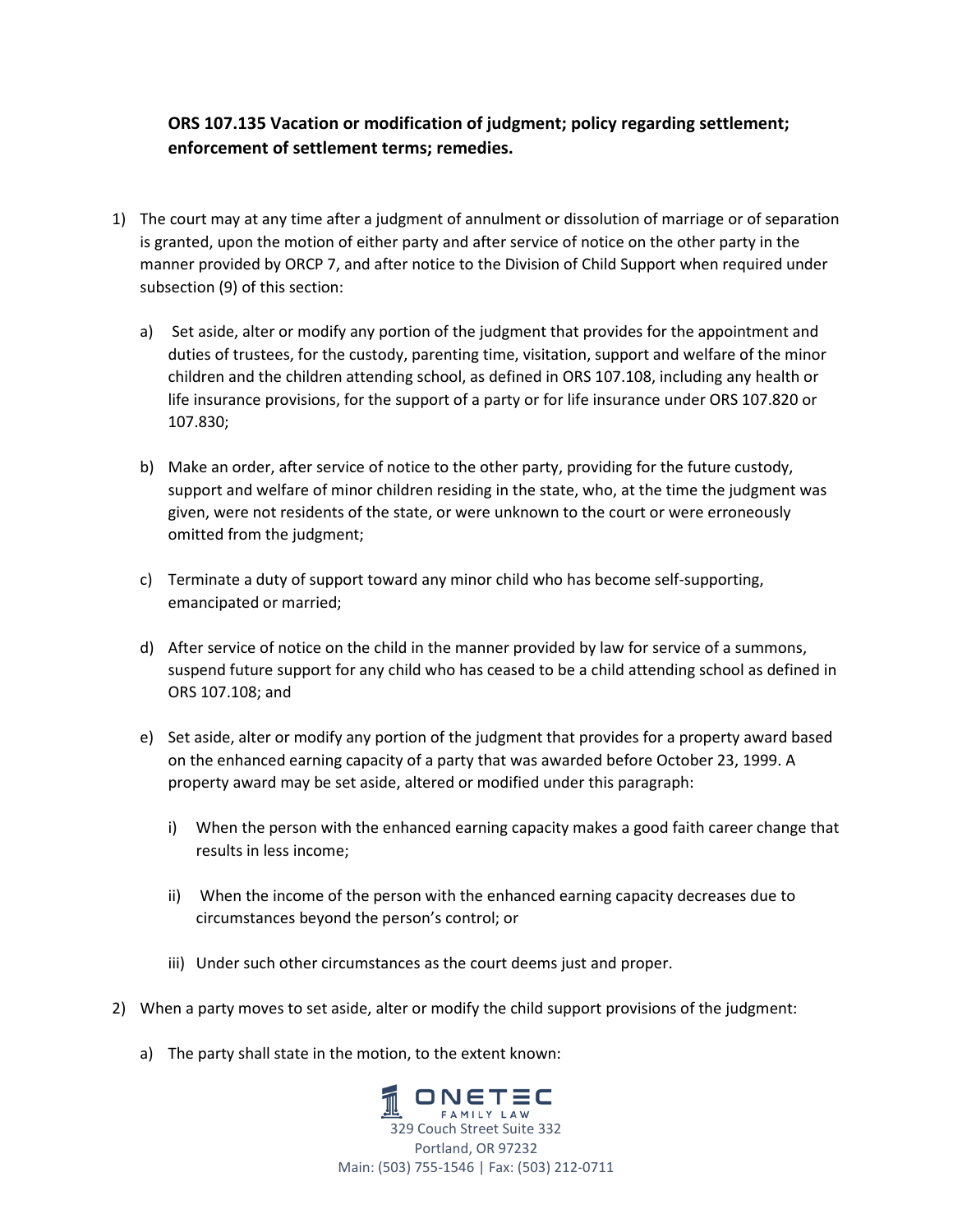## **ORS 107.135 Vacation or modification of judgment; policy regarding settlement; enforcement of settlement terms; remedies.**

- 1) The court may at any time after a judgment of annulment or dissolution of marriage or of separation is granted, upon the motion of either party and after service of notice on the other party in the manner provided by ORCP 7, and after notice to the Division of Child Support when required under subsection (9) of this section:
	- a) Set aside, alter or modify any portion of the judgment that provides for the appointment and duties of trustees, for the custody, parenting time, visitation, support and welfare of the minor children and the children attending school, as defined in ORS 107.108, including any health or life insurance provisions, for the support of a party or for life insurance under ORS 107.820 or 107.830;
	- b) Make an order, after service of notice to the other party, providing for the future custody, support and welfare of minor children residing in the state, who, at the time the judgment was given, were not residents of the state, or were unknown to the court or were erroneously omitted from the judgment;
	- c) Terminate a duty of support toward any minor child who has become self‐supporting, emancipated or married;
	- d) After service of notice on the child in the manner provided by law for service of a summons, suspend future support for any child who has ceased to be a child attending school as defined in ORS 107.108; and
	- e) Set aside, alter or modify any portion of the judgment that provides for a property award based on the enhanced earning capacity of a party that was awarded before October 23, 1999. A property award may be set aside, altered or modified under this paragraph:
		- i) When the person with the enhanced earning capacity makes a good faith career change that results in less income;
		- ii) When the income of the person with the enhanced earning capacity decreases due to circumstances beyond the person's control; or
		- iii) Under such other circumstances as the court deems just and proper.
- 2) When a party moves to set aside, alter or modify the child support provisions of the judgment:
	- a) The party shall state in the motion, to the extent known:

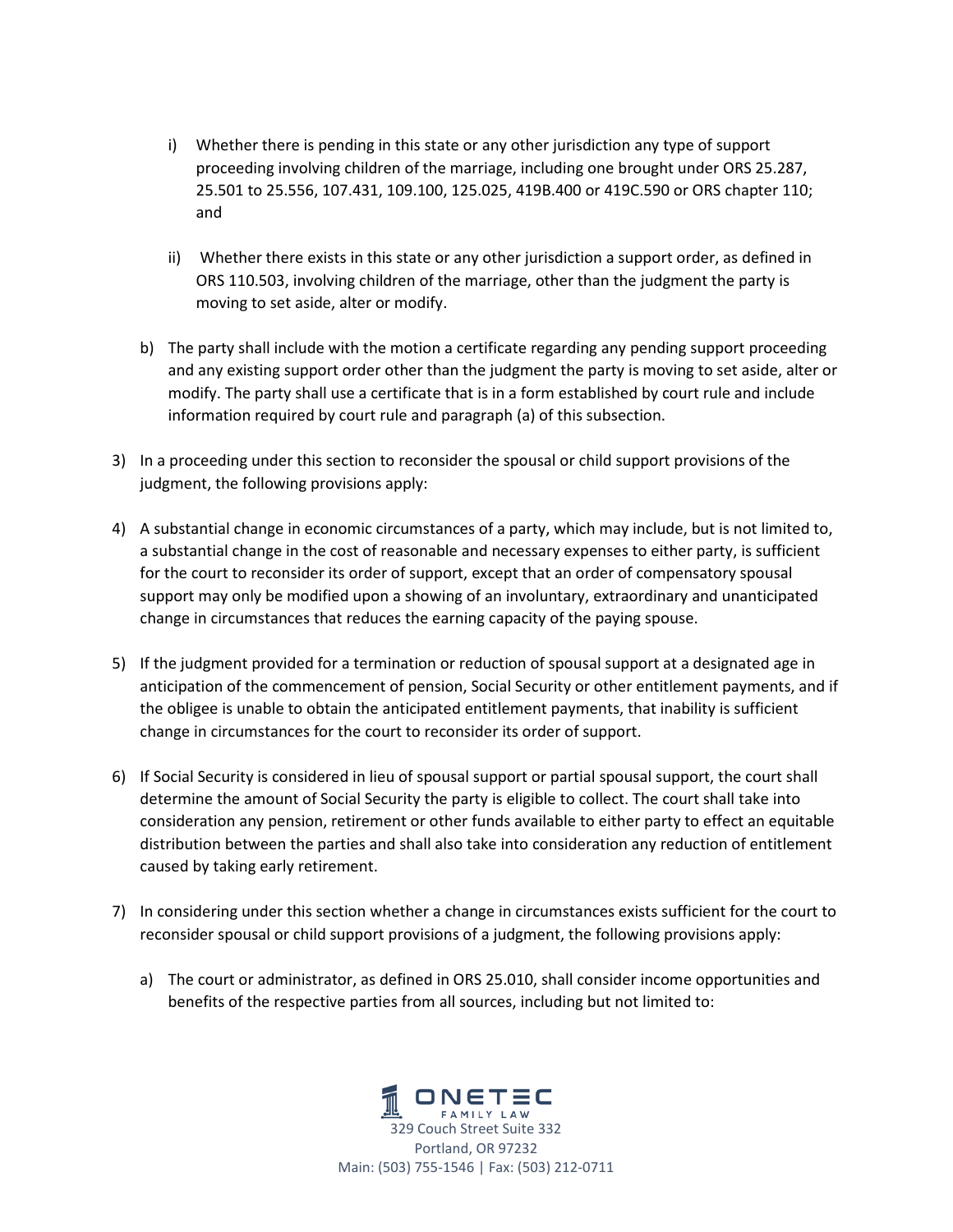- i) Whether there is pending in this state or any other jurisdiction any type of support proceeding involving children of the marriage, including one brought under ORS 25.287, 25.501 to 25.556, 107.431, 109.100, 125.025, 419B.400 or 419C.590 or ORS chapter 110; and
- ii) Whether there exists in this state or any other jurisdiction a support order, as defined in ORS 110.503, involving children of the marriage, other than the judgment the party is moving to set aside, alter or modify.
- b) The party shall include with the motion a certificate regarding any pending support proceeding and any existing support order other than the judgment the party is moving to set aside, alter or modify. The party shall use a certificate that is in a form established by court rule and include information required by court rule and paragraph (a) of this subsection.
- 3) In a proceeding under this section to reconsider the spousal or child support provisions of the judgment, the following provisions apply:
- 4) A substantial change in economic circumstances of a party, which may include, but is not limited to, a substantial change in the cost of reasonable and necessary expenses to either party, is sufficient for the court to reconsider its order of support, except that an order of compensatory spousal support may only be modified upon a showing of an involuntary, extraordinary and unanticipated change in circumstances that reduces the earning capacity of the paying spouse.
- 5) If the judgment provided for a termination or reduction of spousal support at a designated age in anticipation of the commencement of pension, Social Security or other entitlement payments, and if the obligee is unable to obtain the anticipated entitlement payments, that inability is sufficient change in circumstances for the court to reconsider its order of support.
- 6) If Social Security is considered in lieu of spousal support or partial spousal support, the court shall determine the amount of Social Security the party is eligible to collect. The court shall take into consideration any pension, retirement or other funds available to either party to effect an equitable distribution between the parties and shall also take into consideration any reduction of entitlement caused by taking early retirement.
- 7) In considering under this section whether a change in circumstances exists sufficient for the court to reconsider spousal or child support provisions of a judgment, the following provisions apply:
	- a) The court or administrator, as defined in ORS 25.010, shall consider income opportunities and benefits of the respective parties from all sources, including but not limited to:

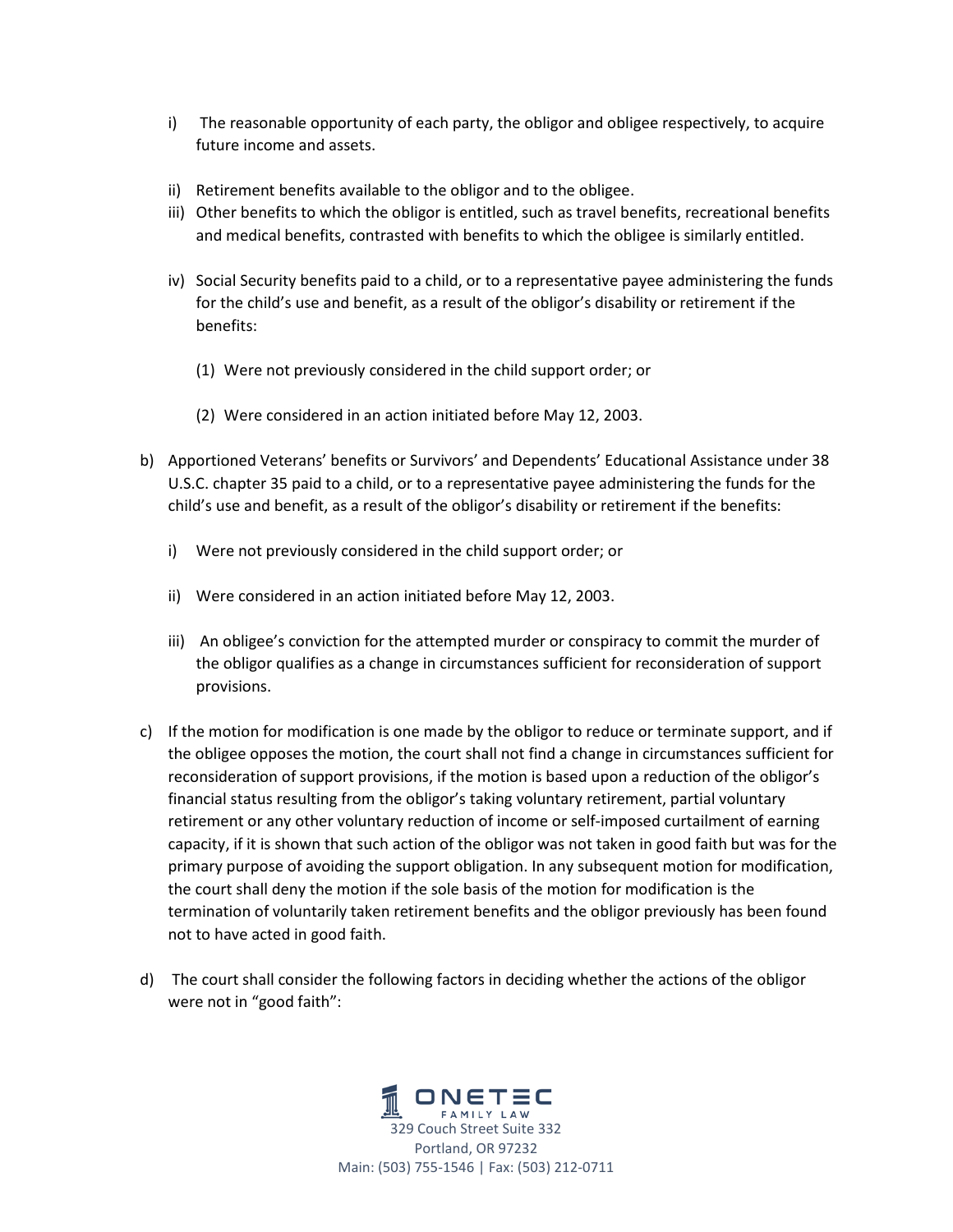- i) The reasonable opportunity of each party, the obligor and obligee respectively, to acquire future income and assets.
- ii) Retirement benefits available to the obligor and to the obligee.
- iii) Other benefits to which the obligor is entitled, such as travel benefits, recreational benefits and medical benefits, contrasted with benefits to which the obligee is similarly entitled.
- iv) Social Security benefits paid to a child, or to a representative payee administering the funds for the child's use and benefit, as a result of the obligor's disability or retirement if the benefits:
	- (1) Were not previously considered in the child support order; or
	- (2) Were considered in an action initiated before May 12, 2003.
- b) Apportioned Veterans' benefits or Survivors' and Dependents' Educational Assistance under 38 U.S.C. chapter 35 paid to a child, or to a representative payee administering the funds for the child's use and benefit, as a result of the obligor's disability or retirement if the benefits:
	- i) Were not previously considered in the child support order; or
	- ii) Were considered in an action initiated before May 12, 2003.
	- iii) An obligee's conviction for the attempted murder or conspiracy to commit the murder of the obligor qualifies as a change in circumstances sufficient for reconsideration of support provisions.
- c) If the motion for modification is one made by the obligor to reduce or terminate support, and if the obligee opposes the motion, the court shall not find a change in circumstances sufficient for reconsideration of support provisions, if the motion is based upon a reduction of the obligor's financial status resulting from the obligor's taking voluntary retirement, partial voluntary retirement or any other voluntary reduction of income or self-imposed curtailment of earning capacity, if it is shown that such action of the obligor was not taken in good faith but was for the primary purpose of avoiding the support obligation. In any subsequent motion for modification, the court shall deny the motion if the sole basis of the motion for modification is the termination of voluntarily taken retirement benefits and the obligor previously has been found not to have acted in good faith.
- d) The court shall consider the following factors in deciding whether the actions of the obligor were not in "good faith":

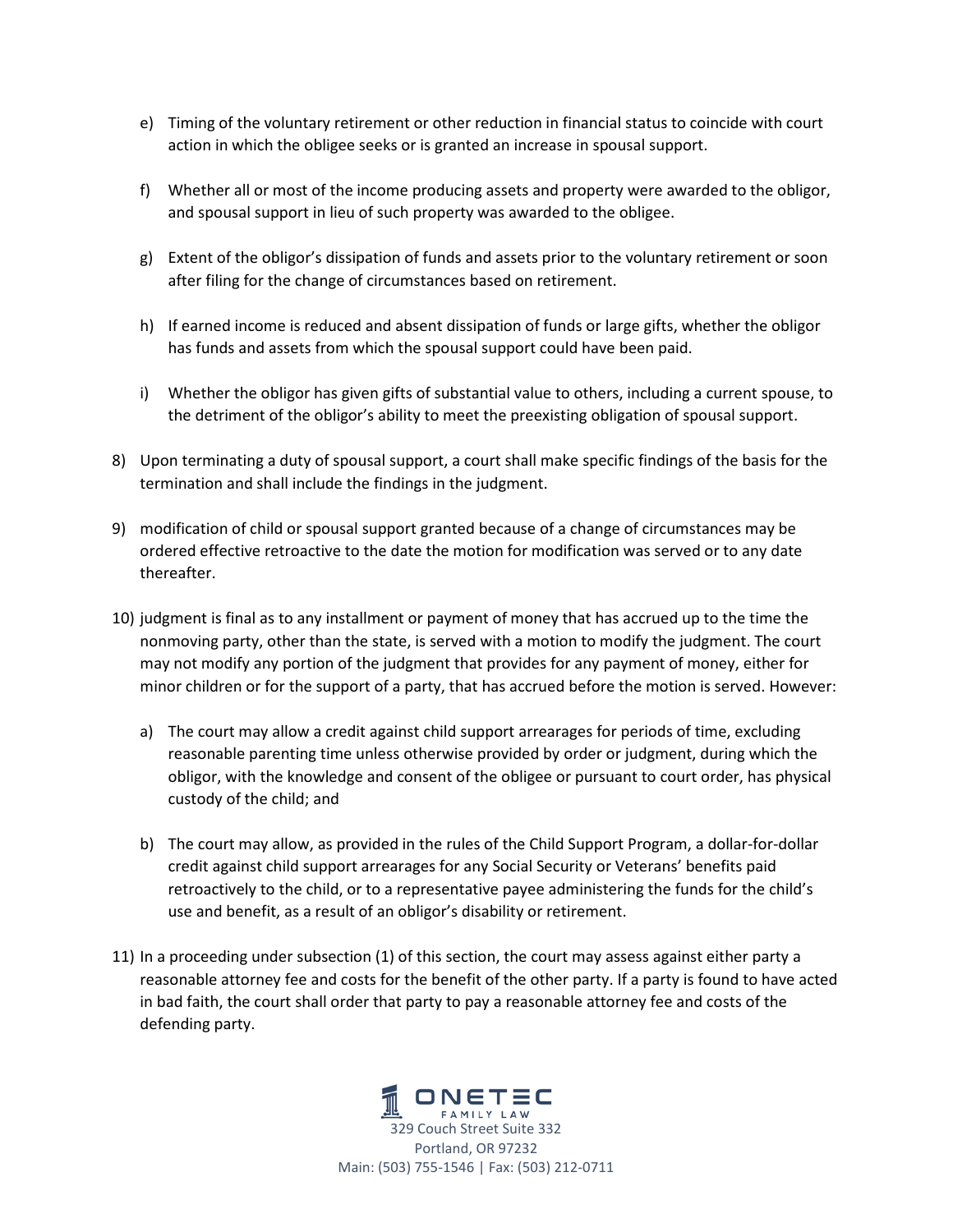- e) Timing of the voluntary retirement or other reduction in financial status to coincide with court action in which the obligee seeks or is granted an increase in spousal support.
- f) Whether all or most of the income producing assets and property were awarded to the obligor, and spousal support in lieu of such property was awarded to the obligee.
- g) Extent of the obligor's dissipation of funds and assets prior to the voluntary retirement or soon after filing for the change of circumstances based on retirement.
- h) If earned income is reduced and absent dissipation of funds or large gifts, whether the obligor has funds and assets from which the spousal support could have been paid.
- i) Whether the obligor has given gifts of substantial value to others, including a current spouse, to the detriment of the obligor's ability to meet the preexisting obligation of spousal support.
- 8) Upon terminating a duty of spousal support, a court shall make specific findings of the basis for the termination and shall include the findings in the judgment.
- 9) modification of child or spousal support granted because of a change of circumstances may be ordered effective retroactive to the date the motion for modification was served or to any date thereafter.
- 10) judgment is final as to any installment or payment of money that has accrued up to the time the nonmoving party, other than the state, is served with a motion to modify the judgment. The court may not modify any portion of the judgment that provides for any payment of money, either for minor children or for the support of a party, that has accrued before the motion is served. However:
	- a) The court may allow a credit against child support arrearages for periods of time, excluding reasonable parenting time unless otherwise provided by order or judgment, during which the obligor, with the knowledge and consent of the obligee or pursuant to court order, has physical custody of the child; and
	- b) The court may allow, as provided in the rules of the Child Support Program, a dollar‐for‐dollar credit against child support arrearages for any Social Security or Veterans' benefits paid retroactively to the child, or to a representative payee administering the funds for the child's use and benefit, as a result of an obligor's disability or retirement.
- 11) In a proceeding under subsection (1) of this section, the court may assess against either party a reasonable attorney fee and costs for the benefit of the other party. If a party is found to have acted in bad faith, the court shall order that party to pay a reasonable attorney fee and costs of the defending party.

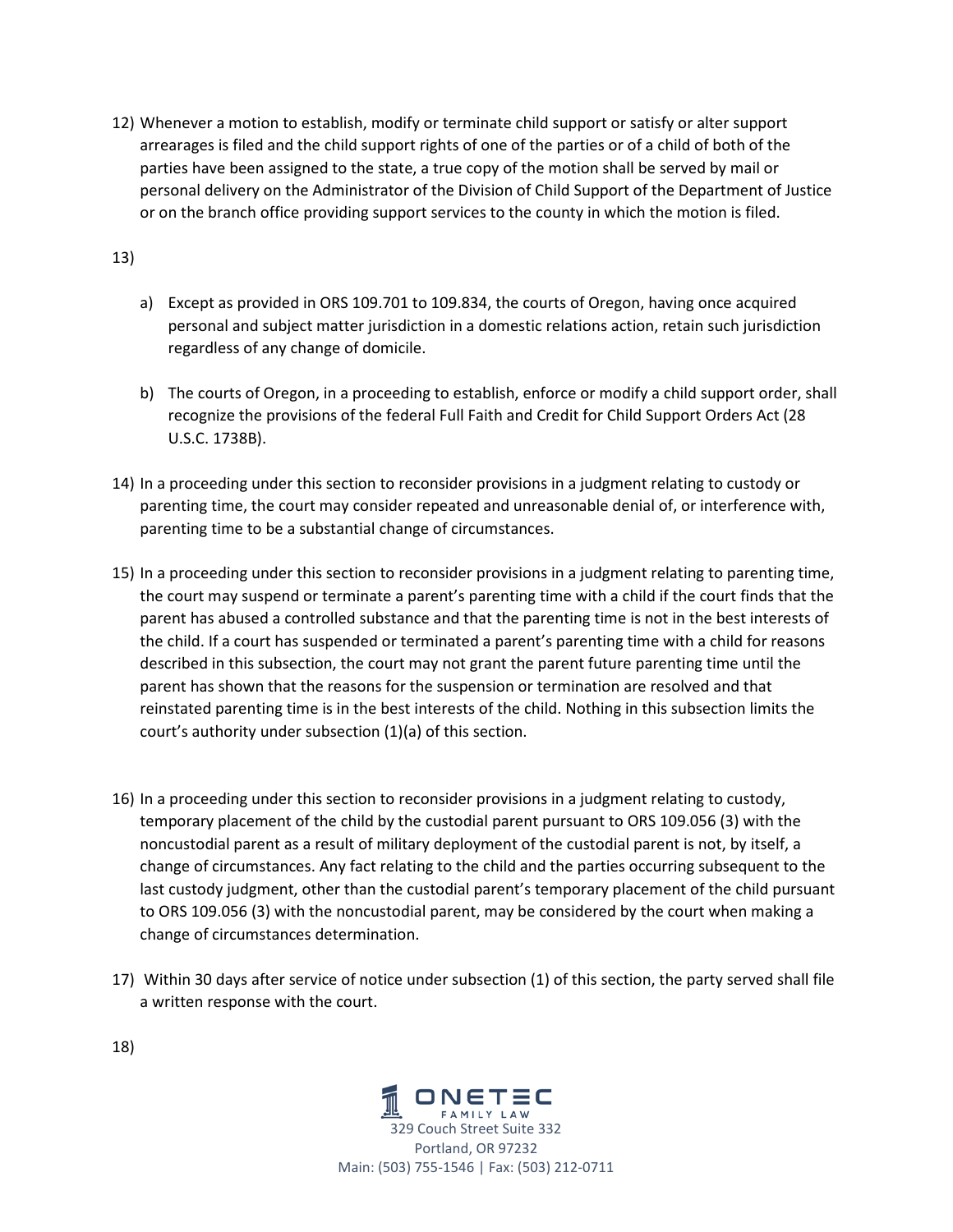12) Whenever a motion to establish, modify or terminate child support or satisfy or alter support arrearages is filed and the child support rights of one of the parties or of a child of both of the parties have been assigned to the state, a true copy of the motion shall be served by mail or personal delivery on the Administrator of the Division of Child Support of the Department of Justice or on the branch office providing support services to the county in which the motion is filed.

13)

- a) Except as provided in ORS 109.701 to 109.834, the courts of Oregon, having once acquired personal and subject matter jurisdiction in a domestic relations action, retain such jurisdiction regardless of any change of domicile.
- b) The courts of Oregon, in a proceeding to establish, enforce or modify a child support order, shall recognize the provisions of the federal Full Faith and Credit for Child Support Orders Act (28 U.S.C. 1738B).
- 14) In a proceeding under this section to reconsider provisions in a judgment relating to custody or parenting time, the court may consider repeated and unreasonable denial of, or interference with, parenting time to be a substantial change of circumstances.
- 15) In a proceeding under this section to reconsider provisions in a judgment relating to parenting time, the court may suspend or terminate a parent's parenting time with a child if the court finds that the parent has abused a controlled substance and that the parenting time is not in the best interests of the child. If a court has suspended or terminated a parent's parenting time with a child for reasons described in this subsection, the court may not grant the parent future parenting time until the parent has shown that the reasons for the suspension or termination are resolved and that reinstated parenting time is in the best interests of the child. Nothing in this subsection limits the court's authority under subsection (1)(a) of this section.
- 16) In a proceeding under this section to reconsider provisions in a judgment relating to custody, temporary placement of the child by the custodial parent pursuant to ORS 109.056 (3) with the noncustodial parent as a result of military deployment of the custodial parent is not, by itself, a change of circumstances. Any fact relating to the child and the parties occurring subsequent to the last custody judgment, other than the custodial parent's temporary placement of the child pursuant to ORS 109.056 (3) with the noncustodial parent, may be considered by the court when making a change of circumstances determination.
- 17) Within 30 days after service of notice under subsection (1) of this section, the party served shall file a written response with the court.



18)